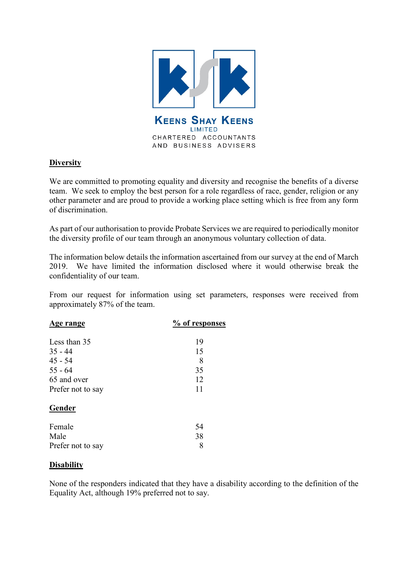

## **Diversity**

We are committed to promoting equality and diversity and recognise the benefits of a diverse team. We seek to employ the best person for a role regardless of race, gender, religion or any other parameter and are proud to provide a working place setting which is free from any form of discrimination.

As part of our authorisation to provide Probate Services we are required to periodically monitor the diversity profile of our team through an anonymous voluntary collection of data.

The information below details the information ascertained from our survey at the end of March 2019. We have limited the information disclosed where it would otherwise break the confidentiality of our team.

From our request for information using set parameters, responses were received from approximately 87% of the team.

| <u>Age range</u>  | % of responses |
|-------------------|----------------|
| Less than 35      | 19             |
| $35 - 44$         | 15             |
| $45 - 54$         | 8              |
| $55 - 64$         | 35             |
| 65 and over       | 12             |
| Prefer not to say | 11             |
| Gender            |                |
| Female            | 54             |
| Male              | 38             |
| Prefer not to say | 8              |

#### **Disability**

None of the responders indicated that they have a disability according to the definition of the Equality Act, although 19% preferred not to say.